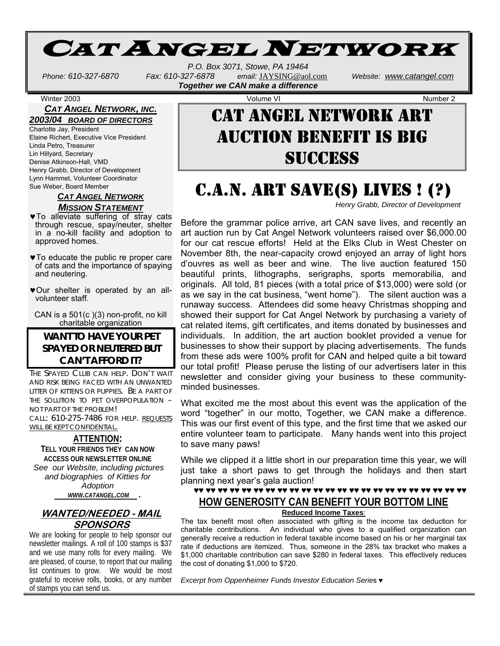# CAT ANGEL NETWORK

*P.O. Box 3071, Stowe, PA 19464 Phone: 610-327-6870 Fax: 610-327-6878 email:* JAYSING@aol.com *Website: www.catangel.com Together we CAN make a difference* 

#### *CAT ANGEL NETWORK, INC. 2003/04 BOARD OF DIRECTORS*

Charlotte Jay, President Elaine Richert, Executive Vice President Linda Petro, Treasurer Lin Hillyard, Secretary Denise Atkinson-Hall, VMD Henry Grabb, Director of Development Lynn Hammet, Volunteer Coordinator Sue Weber, Board Member

#### *CAT ANGEL NETWORK MISSION STATEMENT*

- ♥To alleviate suffering of stray cats through rescue, spay/neuter, shelter in a no-kill facility and adoption to approved homes.
- ♥To educate the public re proper care of cats and the importance of spaying and neutering.
- ♥Our shelter is operated by an allvolunteer staff.

CAN is a 501(c )(3) non-profit, no kill charitable organization

### **WANT TO HAVE YOUR PET SPAYED OR NEUTERED BUT CAN'T AFFORD IT?**

THE SPAYED CLUB CAN HELP. DON'T WAIT AND RISK BEING FACED WITH AN UNWANTED LITTER OF KITTENS OR PUPPIES. BE A PART OF THE SOLUTION TO PET OVERPOPULATION – NOT PART OF THE PROBLEM! CALL: 610-275-7486 FOR HELP. REQUESTS WILL BE KEPT CONFIDENTIAL.

#### **ATTENTION:**

**TELL YOUR FRIENDS THEY CAN NOW ACCESS OUR NEWSLETTER ONLINE** *See our Website, including pictures and biographies of Kitties for Adoption* 

 *WWW.CATANGEL.COM .* 

### **WANTED/NEEDED - MAIL SPONSORS**

We are looking for people to help sponsor our newsletter mailings. A roll of 100 stamps is \$37 and we use many rolls for every mailing. We are pleased, of course, to report that our mailing list continues to grow. We would be most grateful to receive rolls, books, or any number of stamps you can send us.

Winter 2003 **Volume VI Number 2** Number 2 CAT ANGEL NETWORK ART AUCTION BENEFIT IS BIG SUCCESS

# C.A.N. ART SAVE(S) LIVES ! (?)

*Henry Grabb, Director of Development* 

Before the grammar police arrive, art CAN save lives, and recently an art auction run by Cat Angel Network volunteers raised over \$6,000.00 for our cat rescue efforts! Held at the Elks Club in West Chester on November 8th, the near-capacity crowd enjoyed an array of light hors d'ouvres as well as beer and wine. The live auction featured 150 beautiful prints, lithographs, serigraphs, sports memorabilia, and originals. All told, 81 pieces (with a total price of \$13,000) were sold (or as we say in the cat business, "went home"). The silent auction was a runaway success. Attendees did some heavy Christmas shopping and showed their support for Cat Angel Network by purchasing a variety of cat related items, gift certificates, and items donated by businesses and individuals. In addition, the art auction booklet provided a venue for businesses to show their support by placing advertisements. The funds from these ads were 100% profit for CAN and helped quite a bit toward our total profit! Please peruse the listing of our advertisers later in this newsletter and consider giving your business to these communityminded businesses.

What excited me the most about this event was the application of the word "together" in our motto, Together, we CAN make a difference. This was our first event of this type, and the first time that we asked our entire volunteer team to participate. Many hands went into this project to save many paws!

While we clipped it a little short in our preparation time this year, we will just take a short paws to get through the holidays and then start planning next year's gala auction!

### ♥♥ ♥♥ ♥♥ ♥♥ ♥♥ ♥♥ ♥♥ ♥♥ ♥♥ ♥♥ ♥♥ ♥♥ ♥♥ ♥♥ ♥♥ ♥♥ ♥♥ ♥♥ ♥♥ ♥♥ ♥♥ ♥♥ ♥♥ **HOW GENEROSITY CAN BENEFIT YOUR BOTTOM LINE**

**Reduced Income Taxes**:

The tax benefit most often associated with gifting is the income tax deduction for charitable contributions. An individual who gives to a qualified organization can generally receive a reduction in federal taxable income based on his or her marginal tax rate if deductions are itemized. Thus, someone in the 28% tax bracket who makes a \$1,000 charitable contribution can save \$280 in federal taxes. This effectively reduces the cost of donating \$1,000 to \$720.

*Excerpt from Oppenheimer Funds Investor Education Serie*s ♥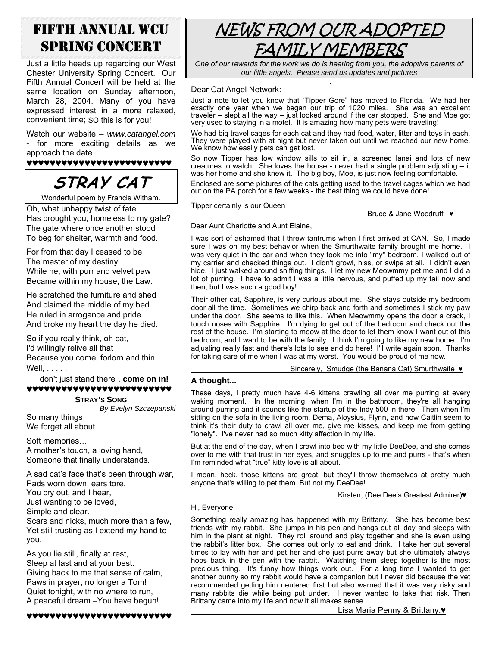## FIFTH ANNUAL WCU SPRING CONCERT

Just a little heads up regarding our West Chester University Spring Concert. Our Fifth Annual Concert will be held at the same location on Sunday afternoon, March 28, 2004. Many of you have expressed interest in a more relaxed, convenient time; SO this is for you!

Watch our website *– www.catangel.com* - for more exciting details as we approach the date.

♥♥♥♥♥♥♥♥♥♥♥♥♥♥♥♥♥♥♥♥♥♥♥♥♥

# **STRAY CAT**

Wonderful poem by Francis Witham.

Oh, what unhappy twist of fate Has brought you, homeless to my gate? The gate where once another stood To beg for shelter, warmth and food.

For from that day I ceased to be The master of my destiny. While he, with purr and velvet paw Became within my house, the Law.

He scratched the furniture and shed And claimed the middle of my bed. He ruled in arrogance and pride And broke my heart the day he died.

So if you really think, oh cat, I'd willingly relive all that Because you come, forlorn and thin Well, . . . . .

don't just stand there . **come on in!**  ♥♥♥♥♥♥♥♥♥♥♥♥♥♥♥♥♥♥♥♥♥♥♥♥♥

### **STRAY'S SONG**

*By Evelyn Szczepanski* So many things We forget all about.

Soft memories… A mother's touch, a loving hand, Someone that finally understands.

A sad cat's face that's been through war, Pads worn down, ears tore.

You cry out, and I hear,

Just wanting to be loved,

Simple and clear.

Scars and nicks, much more than a few, Yet still trusting as I extend my hand to you.

As you lie still, finally at rest, Sleep at last and at your best. Giving back to me that sense of calm, Paws in prayer, no longer a Tom! Quiet tonight, with no where to run, A peaceful dream –You have begun!

♥♥♥♥♥♥♥♥♥♥♥♥♥♥♥♥♥♥♥♥♥♥♥♥♥



*One of our rewards for the work we do is hearing from you, the adoptive parents of our little angels. Please send us updates and pictures*

#### . Dear Cat Angel Network:

Just a note to let you know that "Tipper Gore" has moved to Florida. We had her exactly one year when we began our trip of 1020 miles. She was an excellent traveler – slept all the way – just looked around if the car stopped. She and Moe got very used to staying in a motel. It is amazing how many pets were traveling!

We had big travel cages for each cat and they had food, water, litter and toys in each. They were played with at night but never taken out until we reached our new home. We know how easily pets can get lost.

So now Tipper has low window sills to sit in, a screened lanai and lots of new creatures to watch. She loves the house - never had a single problem adjusting  $-$  it was her home and she knew it. The big boy, Moe, is just now feeling comfortable.

Enclosed are some pictures of the cats getting used to the travel cages which we had out on the PA porch for a few weeks - the best thing we could have done!

Tipper certainly is our Queen.

#### Dear Aunt Charlotte and Aunt Elaine,

I was sort of ashamed that I threw tantrums when I first arrived at CAN. So, I made sure I was on my best behavior when the Smurthwaite family brought me home. I was very quiet in the car and when they took me into "my" bedroom, I walked out of my carrier and checked things out. I didn't growl, hiss, or swipe at all. I didn't even hide. I just walked around sniffing things. I let my new Meowmmy pet me and I did a lot of purring. I have to admit I was a little nervous, and puffed up my tail now and then, but I was such a good boy!

Their other cat, Sapphire, is very curious about me. She stays outside my bedroom door all the time. Sometimes we chirp back and forth and sometimes I stick my paw under the door. She seems to like this. When Meowmmy opens the door a crack, I touch noses with Sapphire. I'm dying to get out of the bedroom and check out the rest of the house. I'm starting to meow at the door to let them know I want out of this bedroom, and I want to be with the family. I think I'm going to like my new home. I'm adjusting really fast and there's lots to see and do here! I'll write again soon. Thanks for taking care of me when I was at my worst. You would be proud of me now.

Sincerely, Smudge (the Banana Cat) Smurthwaite ♥

#### **A thought...**

These days, I pretty much have 4-6 kittens crawling all over me purring at every waking moment. In the morning, when I'm in the bathroom, they're all hanging around purring and it sounds like the startup of the Indy 500 in there. Then when I'm sitting on the sofa in the living room, Dema, Aloysius, Flynn, and now Caitlin seem to think it's their duty to crawl all over me, give me kisses, and keep me from getting "lonely". I've never had so much kitty affection in my life.

But at the end of the day, when I crawl into bed with my little DeeDee, and she comes over to me with that trust in her eyes, and snuggles up to me and purrs - that's when I'm reminded what "true" kitty love is all about.

I mean, heck, those kittens are great, but they'll throw themselves at pretty much anyone that's willing to pet them. But not my DeeDee!

#### Kirsten, (Dee Dee's Greatest Admirer)♥

Hi, Everyone:

Something really amazing has happened with my Brittany. She has become best friends with my rabbit. She jumps in his pen and hangs out all day and sleeps with him in the plant at night. They roll around and play together and she is even using the rabbit's litter box. She comes out only to eat and drink. I take her out several times to lay with her and pet her and she just purrs away but she ultimately always hops back in the pen with the rabbit. Watching them sleep together is the most precious thing. It's funny how things work out. For a long time I wanted to get another bunny so my rabbit would have a companion but I never did because the vet recommended getting him neutered first but also warned that it was very risky and many rabbits die while being put under. I never wanted to take that risk. Then Brittany came into my life and now it all makes sense.

Lisa Maria Penny & Brittany.

Bruce & Jane Woodruff  $\bullet$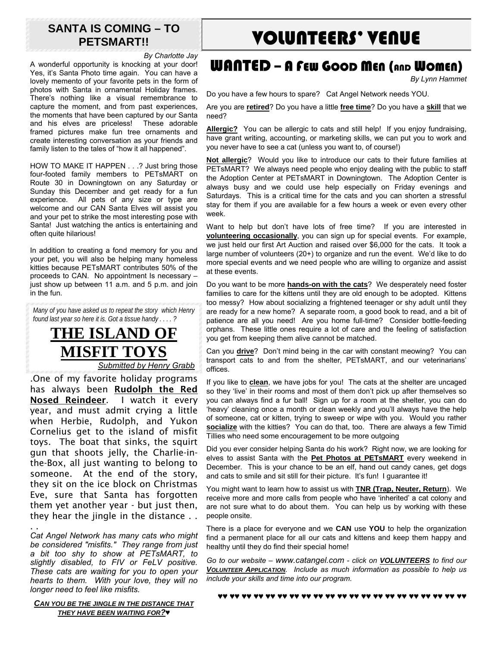## **SANTA IS COMING – TO PETSMART!!**

*By Charlotte Jay* 

A wonderful opportunity is knocking at your door! Yes, it's Santa Photo time again. You can have a lovely memento of your favorite pets in the form of photos with Santa in ornamental Holiday frames. There's nothing like a visual remembrance to capture the moment, and from past experiences, the moments that have been captured by our Santa and his elves are priceless! These adorable framed pictures make fun tree ornaments and create interesting conversation as your friends and family listen to the tales of "how it all happened".

HOW TO MAKE IT HAPPEN . . .? Just bring those four-footed family members to PETsMART on Route 30 in Downingtown on any Saturday or Sunday this December and get ready for a fun experience. All pets of any size or type are welcome and our CAN Santa Elves will assist you and your pet to strike the most interesting pose with Santa! Just watching the antics is entertaining and often quite hilarious!

In addition to creating a fond memory for you and your pet, you will also be helping many homeless kitties because PETsMART contributes 50% of the proceeds to CAN. No appointment Is necessary – just show up between 11 a.m. and 5 p.m. and join in the fun.

*Many of you have asked us to repeat the story which Henry found last year so here it is. Got a tissue handy . . . . ?* 

## **THE ISLAND OF MISFIT TOYS** *Submitted by Henry Grabb*

.One of my favorite holiday programs has always been Rudolph the Red Nosed Reindeer. I watch it every year, and must admit crying a little when Herbie, Rudolph, and Yukon Cornelius get to the island of misfit toys. The boat that sinks, the squirt gun that shoots jelly, the Charlie-inthe-Box, all just wanting to belong to someone. At the end of the story, they sit on the ice block on Christmas Eve, sure that Santa has forgotten them yet another year - but just then, they hear the jingle in the distance . .

. . *Cat Angel Network has many cats who might be considered "misfits." They range from just a bit too shy to show at PETsMART, to slightly disabled, to FIV or FeLV positive. These cats are waiting for you to open your hearts to them. With your love, they will no longer need to feel like misfits.* 

*CAN YOU BE THE JINGLE IN THE DISTANCE THAT THEY HAVE BEEN WAITING FOR?♥*

# VOLUNTEERS' VENUE

## WANTED – A FEW GOOD MEN (AND WOMEN)

*By Lynn Hammet* 

Do you have a few hours to spare? Cat Angel Network needs YOU.

Are you are **retired**? Do you have a little **free time**? Do you have a **skill** that we need?

**Allergic?** You can be allergic to cats and still help! If you enjoy fundraising, have grant writing, accounting, or marketing skills, we can put you to work and you never have to see a cat (unless you want to, of course!)

**Not allergic**? Would you like to introduce our cats to their future families at PETsMART? We always need people who enjoy dealing with the public to staff the Adoption Center at PETsMART in Downingtown. The Adoption Center is always busy and we could use help especially on Friday evenings and Saturdays. This is a critical time for the cats and you can shorten a stressful stay for them if you are available for a few hours a week or even every other week.

Want to help but don't have lots of free time? If you are interested in **volunteering occasionally**, you can sign up for special events. For example, we just held our first Art Auction and raised over \$6,000 for the cats. It took a large number of volunteers (20+) to organize and run the event. We'd like to do more special events and we need people who are willing to organize and assist at these events.

Do you want to be more **hands-on with the cats**? We desperately need foster families to care for the kittens until they are old enough to be adopted. Kittens too messy? How about socializing a frightened teenager or shy adult until they are ready for a new home? A separate room, a good book to read, and a bit of patience are all you need! Are you home full-time? Consider bottle-feeding orphans. These little ones require a lot of care and the feeling of satisfaction you get from keeping them alive cannot be matched.

Can you **drive**? Don't mind being in the car with constant meowing? You can transport cats to and from the shelter, PETsMART, and our veterinarians' offices.

If you like to **clean**, we have jobs for you! The cats at the shelter are uncaged so they 'live' in their rooms and most of them don't pick up after themselves so you can always find a fur ball! Sign up for a room at the shelter, you can do 'heavy' cleaning once a month or clean weekly and you'll always have the help of someone, cat or kitten, trying to sweep or wipe with you. Would you rather **socialize** with the kitties? You can do that, too. There are always a few Timid Tillies who need some encouragement to be more outgoing

Did you ever consider helping Santa do his work? Right now, we are looking for elves to assist Santa with the **Pet Photos at PETsMART** every weekend in December. This is your chance to be an elf, hand out candy canes, get dogs and cats to smile and sit still for their picture. It's fun! I guarantee it!

You might want to learn how to assist us with **TNR (Trap, Neuter, Return**). We receive more and more calls from people who have 'inherited' a cat colony and are not sure what to do about them. You can help us by working with these people onsite.

There is a place for everyone and we **CAN** use **YOU** to help the organization find a permanent place for all our cats and kittens and keep them happy and healthy until they do find their special home!

*Go to our website – www.catangel.com - click on VOLUNTEERS to find our VOLUNTEER APPLICATION. Include as much information as possible to help us include your skills and time into our program.* 

♥♥ ♥♥ ♥♥ ♥♥ ♥♥ ♥♥ ♥♥ ♥♥ ♥♥ ♥♥ ♥♥ ♥♥ ♥♥ ♥♥ ♥♥ ♥♥ ♥♥ ♥♥ ♥♥ ♥♥ ♥♥